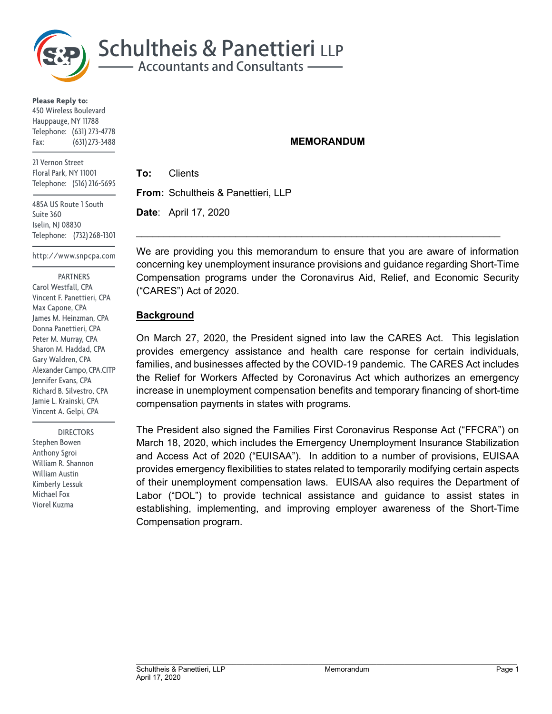

**Please Reply to:** 450 Wireless Boulevard Hauppauge, NY 11788 Telephone: (631) 273-4778 Fax: (631) 273-3488

21 Vernon Street Floral Park, NY 11001 Telephone: (516) 216-5695

485A US Route 1 South Suite 360 Iselin, NJ 08830 Telephone: (732) 268-1301

http://www.snpcpa.com

#### PARTNERS

Carol Westfall, CPA Vincent F. Panettieri, CPA Max Capone, CPA James M. Heinzman, CPA Donna Panettieri, CPA Peter M. Murray, CPA Sharon M. Haddad, CPA Gary Waldren, CPA Alexander Campo, CPA.CITP Jennifer Evans, CPA Richard B. Silvestro, CPA Jamie L. Krainski, CPA Vincent A. Gelpi, CPA

 DIRECTORS Stephen Bowen Anthony Sgroi William R. Shannon William Austin Kimberly Lessuk Michael Fox Viorel Kuzma

### **MEMORANDUM**

**To:** Clients **From:** Schultheis & Panettieri, LLP **Date**: April 17, 2020

We are providing you this memorandum to ensure that you are aware of information concerning key unemployment insurance provisions and guidance regarding Short-Time Compensation programs under the Coronavirus Aid, Relief, and Economic Security ("CARES") Act of 2020.

 $\mathcal{L}_\text{max} = \mathcal{L}_\text{max} = \mathcal{L}_\text{max} = \mathcal{L}_\text{max} = \mathcal{L}_\text{max} = \mathcal{L}_\text{max} = \mathcal{L}_\text{max} = \mathcal{L}_\text{max} = \mathcal{L}_\text{max} = \mathcal{L}_\text{max} = \mathcal{L}_\text{max} = \mathcal{L}_\text{max} = \mathcal{L}_\text{max} = \mathcal{L}_\text{max} = \mathcal{L}_\text{max} = \mathcal{L}_\text{max} = \mathcal{L}_\text{max} = \mathcal{L}_\text{max} = \mathcal{$ 

## **Background**

On March 27, 2020, the President signed into law the CARES Act. This legislation provides emergency assistance and health care response for certain individuals, families, and businesses affected by the COVID-19 pandemic. The CARES Act includes the Relief for Workers Affected by Coronavirus Act which authorizes an emergency increase in unemployment compensation benefits and temporary financing of short-time compensation payments in states with programs.

The President also signed the Families First Coronavirus Response Act ("FFCRA") on March 18, 2020, which includes the Emergency Unemployment Insurance Stabilization and Access Act of 2020 ("EUISAA"). In addition to a number of provisions, EUISAA provides emergency flexibilities to states related to temporarily modifying certain aspects of their unemployment compensation laws. EUISAA also requires the Department of Labor ("DOL") to provide technical assistance and guidance to assist states in establishing, implementing, and improving employer awareness of the Short-Time Compensation program.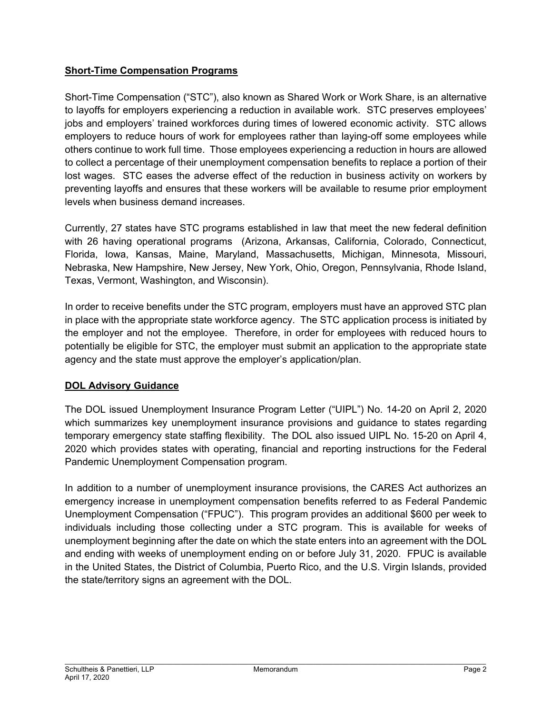# **Short-Time Compensation Programs**

Short-Time Compensation ("STC"), also known as Shared Work or Work Share, is an alternative to layoffs for employers experiencing a reduction in available work. STC preserves employees' jobs and employers' trained workforces during times of lowered economic activity. STC allows employers to reduce hours of work for employees rather than laying-off some employees while others continue to work full time. Those employees experiencing a reduction in hours are allowed to collect a percentage of their unemployment compensation benefits to replace a portion of their lost wages. STC eases the adverse effect of the reduction in business activity on workers by preventing layoffs and ensures that these workers will be available to resume prior employment levels when business demand increases.

Currently, 27 states have STC programs established in law that meet the new federal definition with 26 having operational programs (Arizona, Arkansas, California, Colorado, Connecticut, Florida, Iowa, Kansas, Maine, Maryland, Massachusetts, Michigan, Minnesota, Missouri, Nebraska, New Hampshire, New Jersey, New York, Ohio, Oregon, Pennsylvania, Rhode Island, Texas, Vermont, Washington, and Wisconsin).

In order to receive benefits under the STC program, employers must have an approved STC plan in place with the appropriate state workforce agency. The STC application process is initiated by the employer and not the employee. Therefore, in order for employees with reduced hours to potentially be eligible for STC, the employer must submit an application to the appropriate state agency and the state must approve the employer's application/plan.

# **DOL Advisory Guidance**

The DOL issued Unemployment Insurance Program Letter ("UIPL") No. 14-20 on April 2, 2020 which summarizes key unemployment insurance provisions and guidance to states regarding temporary emergency state staffing flexibility. The DOL also issued UIPL No. 15-20 on April 4, 2020 which provides states with operating, financial and reporting instructions for the Federal Pandemic Unemployment Compensation program.

In addition to a number of unemployment insurance provisions, the CARES Act authorizes an emergency increase in unemployment compensation benefits referred to as Federal Pandemic Unemployment Compensation ("FPUC"). This program provides an additional \$600 per week to individuals including those collecting under a STC program. This is available for weeks of unemployment beginning after the date on which the state enters into an agreement with the DOL and ending with weeks of unemployment ending on or before July 31, 2020. FPUC is available in the United States, the District of Columbia, Puerto Rico, and the U.S. Virgin Islands, provided the state/territory signs an agreement with the DOL.